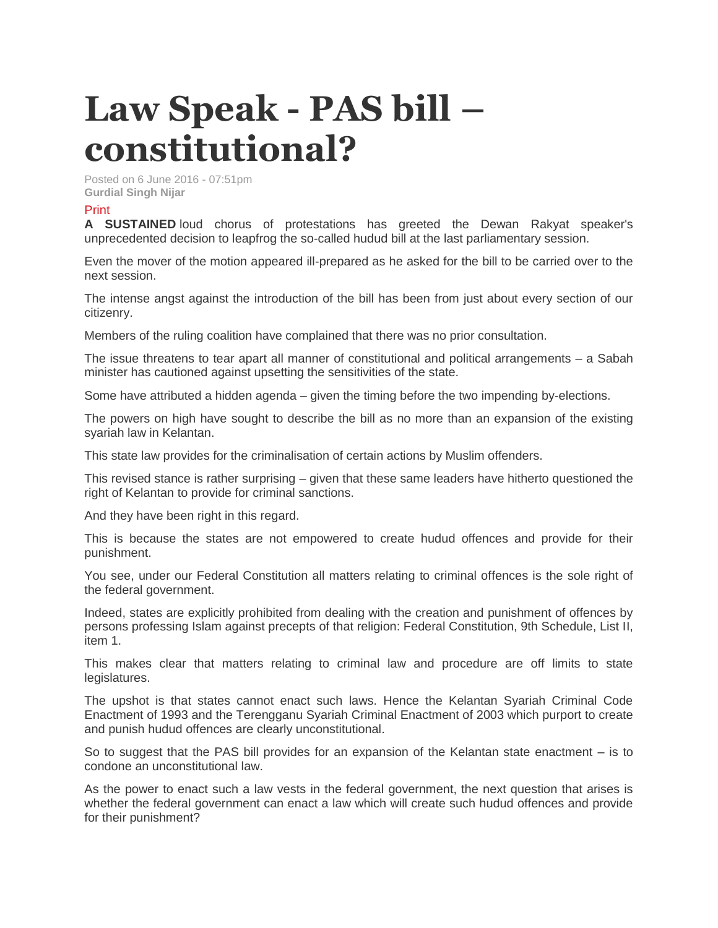## **Law Speak - PAS bill – constitutional?**

Posted on 6 June 2016 - 07:51pm **Gurdial Singh Nijar**

## [Print](http://www.thesundaily.my/print/372163)

**A SUSTAINED** loud chorus of protestations has greeted the Dewan Rakyat speaker's unprecedented decision to leapfrog the so-called hudud bill at the last parliamentary session.

Even the mover of the motion appeared ill-prepared as he asked for the bill to be carried over to the next session.

The intense angst against the introduction of the bill has been from just about every section of our citizenry.

Members of the ruling coalition have complained that there was no prior consultation.

The issue threatens to tear apart all manner of constitutional and political arrangements – a Sabah minister has cautioned against upsetting the sensitivities of the state.

Some have attributed a hidden agenda – given the timing before the two impending by-elections.

The powers on high have sought to describe the bill as no more than an expansion of the existing syariah law in Kelantan.

This state law provides for the criminalisation of certain actions by Muslim offenders.

This revised stance is rather surprising – given that these same leaders have hitherto questioned the right of Kelantan to provide for criminal sanctions.

And they have been right in this regard.

This is because the states are not empowered to create hudud offences and provide for their punishment.

You see, under our Federal Constitution all matters relating to criminal offences is the sole right of the federal government.

Indeed, states are explicitly prohibited from dealing with the creation and punishment of offences by persons professing Islam against precepts of that religion: Federal Constitution, 9th Schedule, List II, item 1.

This makes clear that matters relating to criminal law and procedure are off limits to state legislatures.

The upshot is that states cannot enact such laws. Hence the Kelantan Syariah Criminal Code Enactment of 1993 and the Terengganu Syariah Criminal Enactment of 2003 which purport to create and punish hudud offences are clearly unconstitutional.

So to suggest that the PAS bill provides for an expansion of the Kelantan state enactment – is to condone an unconstitutional law.

As the power to enact such a law vests in the federal government, the next question that arises is whether the federal government can enact a law which will create such hudud offences and provide for their punishment?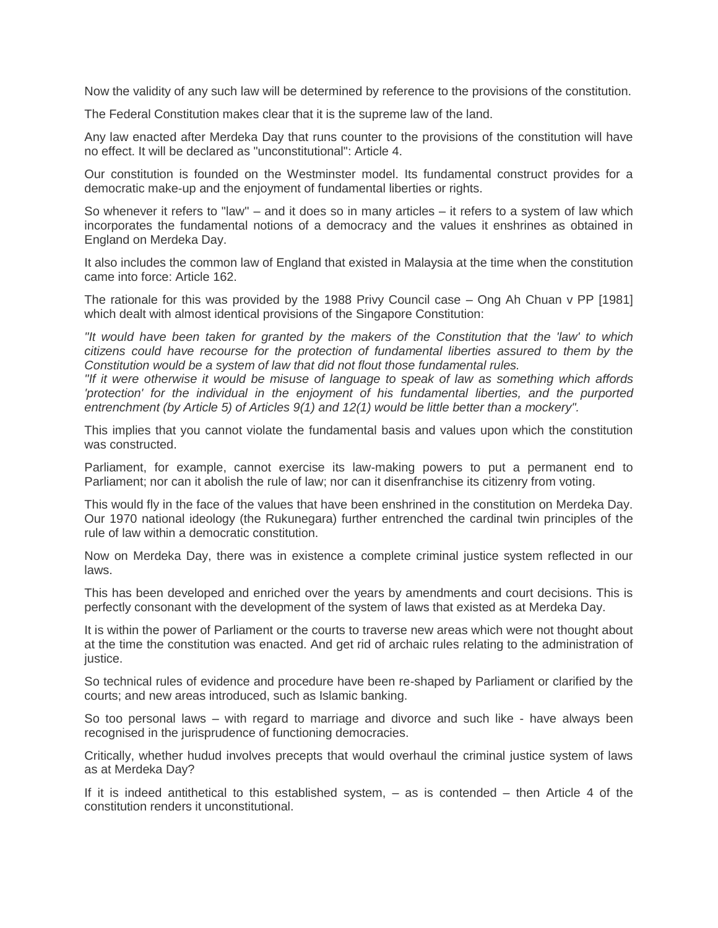Now the validity of any such law will be determined by reference to the provisions of the constitution.

The Federal Constitution makes clear that it is the supreme law of the land.

Any law enacted after Merdeka Day that runs counter to the provisions of the constitution will have no effect. It will be declared as "unconstitutional": Article 4.

Our constitution is founded on the Westminster model. Its fundamental construct provides for a democratic make-up and the enjoyment of fundamental liberties or rights.

So whenever it refers to "law'' – and it does so in many articles – it refers to a system of law which incorporates the fundamental notions of a democracy and the values it enshrines as obtained in England on Merdeka Day.

It also includes the common law of England that existed in Malaysia at the time when the constitution came into force: Article 162.

The rationale for this was provided by the 1988 Privy Council case – Ong Ah Chuan v PP [1981] which dealt with almost identical provisions of the Singapore Constitution:

*"It would have been taken for granted by the makers of the Constitution that the 'law' to which citizens could have recourse for the protection of fundamental liberties assured to them by the Constitution would be a system of law that did not flout those fundamental rules.*

*"If it were otherwise it would be misuse of language to speak of law as something which affords 'protection' for the individual in the enjoyment of his fundamental liberties, and the purported entrenchment (by Article 5) of Articles 9(1) and 12(1) would be little better than a mockery".*

This implies that you cannot violate the fundamental basis and values upon which the constitution was constructed.

Parliament, for example, cannot exercise its law-making powers to put a permanent end to Parliament; nor can it abolish the rule of law; nor can it disenfranchise its citizenry from voting.

This would fly in the face of the values that have been enshrined in the constitution on Merdeka Day. Our 1970 national ideology (the Rukunegara) further entrenched the cardinal twin principles of the rule of law within a democratic constitution.

Now on Merdeka Day, there was in existence a complete criminal justice system reflected in our laws.

This has been developed and enriched over the years by amendments and court decisions. This is perfectly consonant with the development of the system of laws that existed as at Merdeka Day.

It is within the power of Parliament or the courts to traverse new areas which were not thought about at the time the constitution was enacted. And get rid of archaic rules relating to the administration of justice.

So technical rules of evidence and procedure have been re-shaped by Parliament or clarified by the courts; and new areas introduced, such as Islamic banking.

So too personal laws – with regard to marriage and divorce and such like - have always been recognised in the jurisprudence of functioning democracies.

Critically, whether hudud involves precepts that would overhaul the criminal justice system of laws as at Merdeka Day?

If it is indeed antithetical to this established system,  $-$  as is contended  $-$  then Article 4 of the constitution renders it unconstitutional.